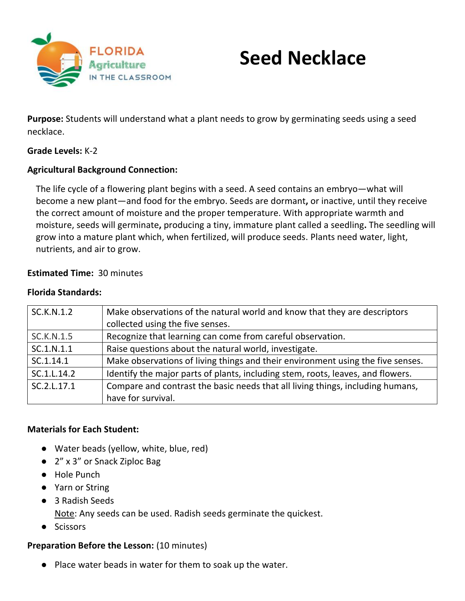

# **Seed Necklace**

**Purpose:** Students will understand what a plant needs to grow by germinating seeds using a seed necklace.

## **Grade Levels:** K-2

## **Agricultural Background Connection:**

The life cycle of a flowering plant begins with a seed. A seed contains an embryo—what will become a new plant—and food for the embryo. Seeds are dormant**,** or inactive, until they receive the correct amount of moisture and the proper temperature. With appropriate warmth and moisture, seeds will germinate**,** producing a tiny, immature plant called a seedling**.** The seedling will grow into a mature plant which, when fertilized, will produce seeds. Plants need water, light, nutrients, and air to grow.

## **Estimated Time:** 30 minutes

#### **Florida Standards:**

| SC.K.N.1.2        | Make observations of the natural world and know that they are descriptors<br>collected using the five senses. |
|-------------------|---------------------------------------------------------------------------------------------------------------|
| <b>SC.K.N.1.5</b> | Recognize that learning can come from careful observation.                                                    |
| SC.1.N.1.1        | Raise questions about the natural world, investigate.                                                         |
| SC.1.14.1         | Make observations of living things and their environment using the five senses.                               |
| SC.1.L.14.2       | Identify the major parts of plants, including stem, roots, leaves, and flowers.                               |
| SC.2.L.17.1       | Compare and contrast the basic needs that all living things, including humans,                                |
|                   | have for survival.                                                                                            |

#### **Materials for Each Student:**

- Water beads (yellow, white, blue, red)
- 2" x 3" or Snack Ziploc Bag
- Hole Punch
- Yarn or String
- 3 Radish Seeds

Note: Any seeds can be used. Radish seeds germinate the quickest.

● Scissors

## **Preparation Before the Lesson:** (10 minutes)

● Place water beads in water for them to soak up the water.